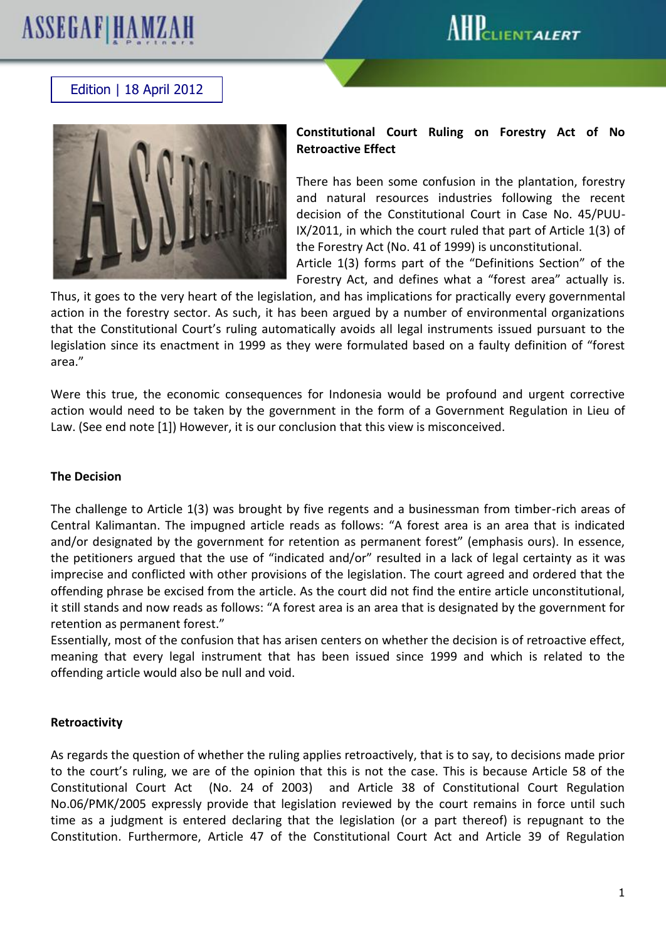# **ASSEGAF|HAMZAH**



## Edition | 18 April 2012



### **Constitutional Court Ruling on Forestry Act of No Retroactive Effect**

There has been some confusion in the plantation, forestry and natural resources industries following the recent decision of the Constitutional Court in Case No. 45/PUU-IX/2011, in which the court ruled that part of Article 1(3) of the Forestry Act (No. 41 of 1999) is unconstitutional.

Article 1(3) forms part of the "Definitions Section" of the Forestry Act, and defines what a "forest area" actually is.

Thus, it goes to the very heart of the legislation, and has implications for practically every governmental action in the forestry sector. As such, it has been argued by a number of environmental organizations that the Constitutional Court's ruling automatically avoids all legal instruments issued pursuant to the legislation since its enactment in 1999 as they were formulated based on a faulty definition of "forest area."

Were this true, the economic consequences for Indonesia would be profound and urgent corrective action would need to be taken by the government in the form of a Government Regulation in Lieu of Law. (See end note [1]) However, it is our conclusion that this view is misconceived.

#### **The Decision**

The challenge to Article 1(3) was brought by five regents and a businessman from timber-rich areas of Central Kalimantan. The impugned article reads as follows: "A forest area is an area that is indicated and/or designated by the government for retention as permanent forest" (emphasis ours). In essence, the petitioners argued that the use of "indicated and/or" resulted in a lack of legal certainty as it was imprecise and conflicted with other provisions of the legislation. The court agreed and ordered that the offending phrase be excised from the article. As the court did not find the entire article unconstitutional, it still stands and now reads as follows: "A forest area is an area that is designated by the government for retention as permanent forest."

Essentially, most of the confusion that has arisen centers on whether the decision is of retroactive effect, meaning that every legal instrument that has been issued since 1999 and which is related to the offending article would also be null and void.

#### **Retroactivity**

As regards the question of whether the ruling applies retroactively, that is to say, to decisions made prior to the court's ruling, we are of the opinion that this is not the case. This is because Article 58 of the Constitutional Court Act (No. 24 of 2003) and Article 38 of Constitutional Court Regulation No.06/PMK/2005 expressly provide that legislation reviewed by the court remains in force until such time as a judgment is entered declaring that the legislation (or a part thereof) is repugnant to the Constitution. Furthermore, Article 47 of the Constitutional Court Act and Article 39 of Regulation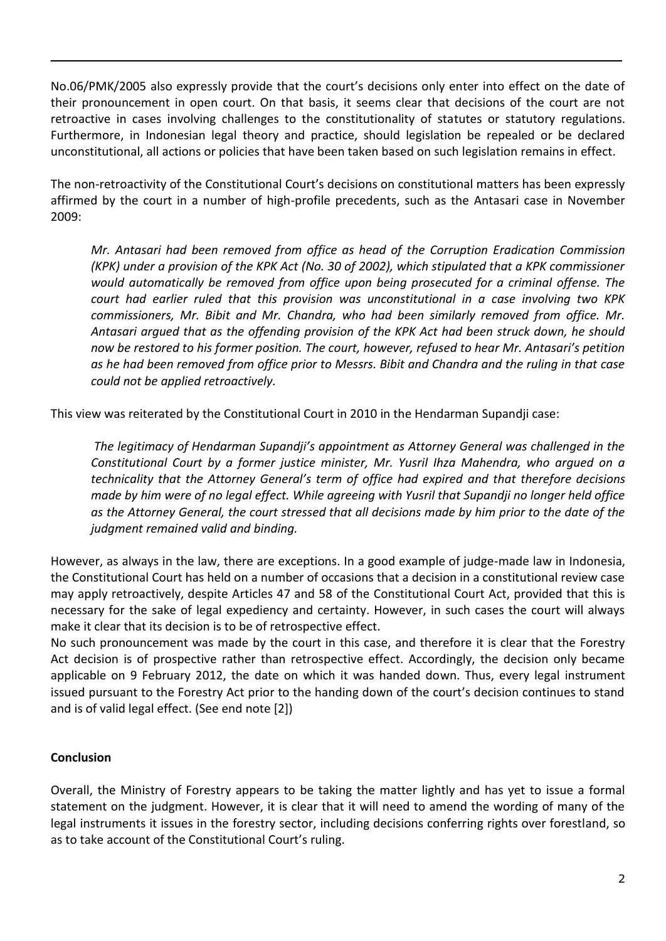No.06/PMK/2005 also expressly provide that the court's decisions only enter into effect on the date of their pronouncement in open court. On that basis, it seems clear that decisions of the court are not retroactive in cases involving challenges to the constitutionality of statutes or statutory regulations. Furthermore, in Indonesian legal theory and practice, should legislation be repealed or be declared unconstitutional, all actions or policies that have been taken based on such legislation remains in effect.

The non-retroactivity of the Constitutional Court's decisions on constitutional matters has been expressly affirmed by the court in a number of high-profile precedents, such as the Antasari case in November 2009:

*Mr. Antasari had been removed from office as head of the Corruption Eradication Commission (KPK) under a provision of the KPK Act (No. 30 of 2002), which stipulated that a KPK commissioner would automatically be removed from office upon being prosecuted for a criminal offense. The court had earlier ruled that this provision was unconstitutional in a case involving two KPK commissioners, Mr. Bibit and Mr. Chandra, who had been similarly removed from office. Mr. Antasari argued that as the offending provision of the KPK Act had been struck down, he should now be restored to his former position. The court, however, refused to hear Mr. Antasari's petition as he had been removed from office prior to Messrs. Bibit and Chandra and the ruling in that case could not be applied retroactively.*

This view was reiterated by the Constitutional Court in 2010 in the Hendarman Supandji case:

*The legitimacy of Hendarman Supandji's appointment as Attorney General was challenged in the Constitutional Court by a former justice minister, Mr. Yusril Ihza Mahendra, who argued on a technicality that the Attorney General's term of office had expired and that therefore decisions made by him were of no legal effect. While agreeing with Yusril that Supandji no longer held office as the Attorney General, the court stressed that all decisions made by him prior to the date of the judgment remained valid and binding.*

However, as always in the law, there are exceptions. In a good example of judge-made law in Indonesia, the Constitutional Court has held on a number of occasions that a decision in a constitutional review case may apply retroactively, despite Articles 47 and 58 of the Constitutional Court Act, provided that this is necessary for the sake of legal expediency and certainty. However, in such cases the court will always make it clear that its decision is to be of retrospective effect.

No such pronouncement was made by the court in this case, and therefore it is clear that the Forestry Act decision is of prospective rather than retrospective effect. Accordingly, the decision only became applicable on 9 February 2012, the date on which it was handed down. Thus, every legal instrument issued pursuant to the Forestry Act prior to the handing down of the court's decision continues to stand and is of valid legal effect. (See end note [2])

#### **Conclusion**

Overall, the Ministry of Forestry appears to be taking the matter lightly and has yet to issue a formal statement on the judgment. However, it is clear that it will need to amend the wording of many of the legal instruments it issues in the forestry sector, including decisions conferring rights over forestland, so as to take account of the Constitutional Court's ruling.